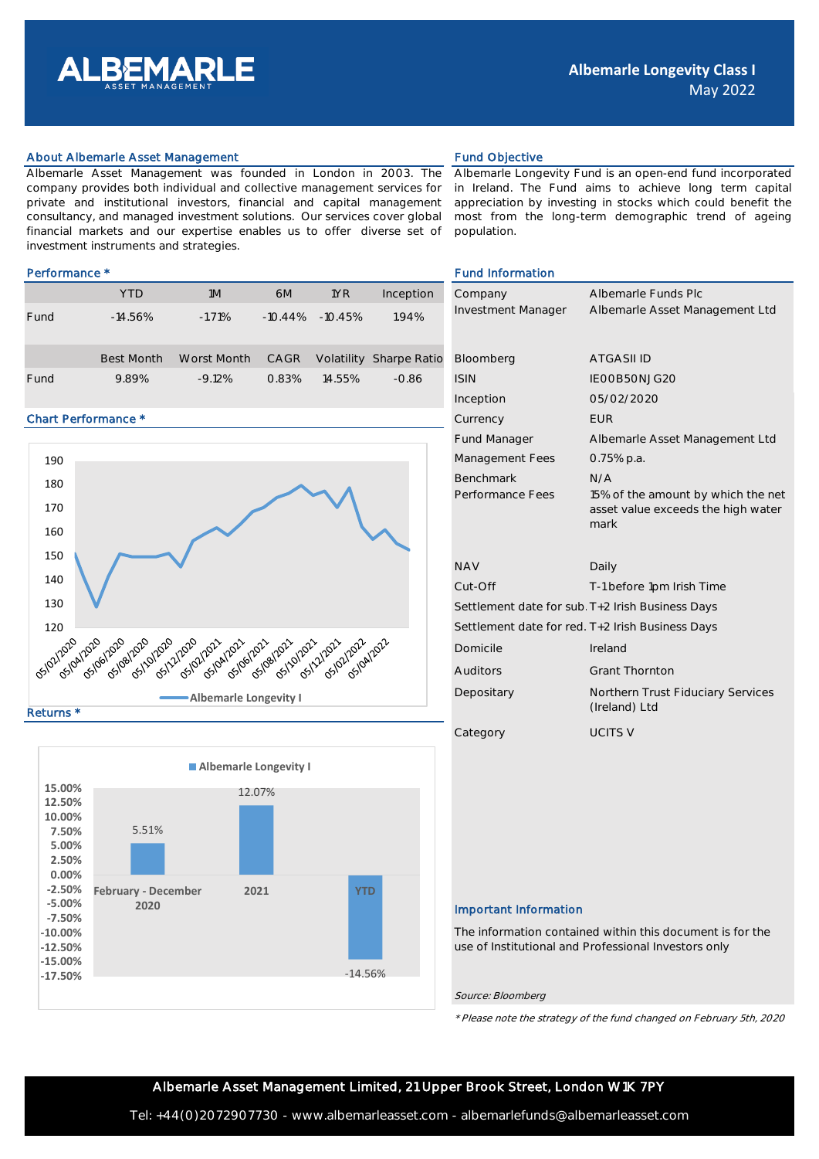

# About Albemarle Asset Management **Fund Objective** Fund Objective

Albemarle Asset Management was founded in London in 2003. The company provides both individual and collective management services for private and institutional investors, financial and capital management consultancy, and managed investment solutions. Our services cover global financial markets and our expertise enables us to offer diverse set of investment instruments and strategies.

|      | <b>YTD</b>        | 1M          | 6M         | 1YR        | Inception                      | Company                   | Albemarle Func |
|------|-------------------|-------------|------------|------------|--------------------------------|---------------------------|----------------|
| Fund | $-14.56%$         | $-1.71%$    | $-10.44\%$ | $-10.45\%$ | 1.94%                          | <b>Investment Manager</b> | Albemarle Asse |
|      | <b>Best Month</b> | Worst Month | CAGR       |            | <b>Volatility Sharpe Ratio</b> | Bloomberg                 | ATGASII ID     |
| Fund | 9.89%             | $-9.12%$    | 0.83%      | 14.55%     | $-0.86$                        | <b>ISIN</b>               | IEOOB5ONJG2C   |

# Chart Performance \*





Albemarle Longevity Fund is an open-end fund incorporated in Ireland. The Fund aims to achieve long term capital appreciation by investing in stocks which could benefit the most from the long-term demographic trend of ageing population.

### Performance \* The set of the set of the set of the set of the set of the set of the set of the set of the set of the set of the set of the set of the set of the set of the set of the set of the set of the set of the set of

| Company                                          | Albemarle Funds Plc                                                              |  |  |  |  |
|--------------------------------------------------|----------------------------------------------------------------------------------|--|--|--|--|
| Investment Manager                               | Albemarle Asset Management Ltd                                                   |  |  |  |  |
|                                                  |                                                                                  |  |  |  |  |
|                                                  |                                                                                  |  |  |  |  |
| Bloomberg                                        | <b>ATGASILID</b>                                                                 |  |  |  |  |
| <b>ISIN</b>                                      | IEOOB5ONJG2O                                                                     |  |  |  |  |
| Inception                                        | 05/02/2020                                                                       |  |  |  |  |
| Currency                                         | <b>FUR</b>                                                                       |  |  |  |  |
| <b>Fund Manager</b>                              | Albemarle Asset Management Ltd                                                   |  |  |  |  |
| Management Fees                                  | $0.75%$ p.a.                                                                     |  |  |  |  |
| <b>Benchmark</b>                                 | N/A                                                                              |  |  |  |  |
| Performance Fees                                 | 15% of the amount by which the net<br>asset value exceeds the high water<br>mark |  |  |  |  |
|                                                  |                                                                                  |  |  |  |  |
| <b>NAV</b>                                       | Daily                                                                            |  |  |  |  |
| Cut-Off                                          | T-1 before 1pm Irish Time                                                        |  |  |  |  |
| Settlement date for sub. T+2 Irish Business Days |                                                                                  |  |  |  |  |
| Settlement date for red. T+2 Irish Business Days |                                                                                  |  |  |  |  |
| Domicile                                         | Ireland                                                                          |  |  |  |  |
| Auditors                                         | <b>Grant Thornton</b>                                                            |  |  |  |  |
| Depositary                                       | Northern Trust Fiduciary Services<br>(Ireland) Ltd                               |  |  |  |  |
| Category                                         | <b>UCITS V</b>                                                                   |  |  |  |  |

# Important Information

The information contained within this document is for the use of Institutional and Professional Investors only

Source: Bloomberg

\* Please note the strategy of the fund changed on February 5th, 2020

Albemarle Asset Management Limited, 21 Upper Brook Street, London W1K 7PY

Tel: +44(0)2072907730 - www.albemarleasset.com - albemarlefunds@albemarleasset.com